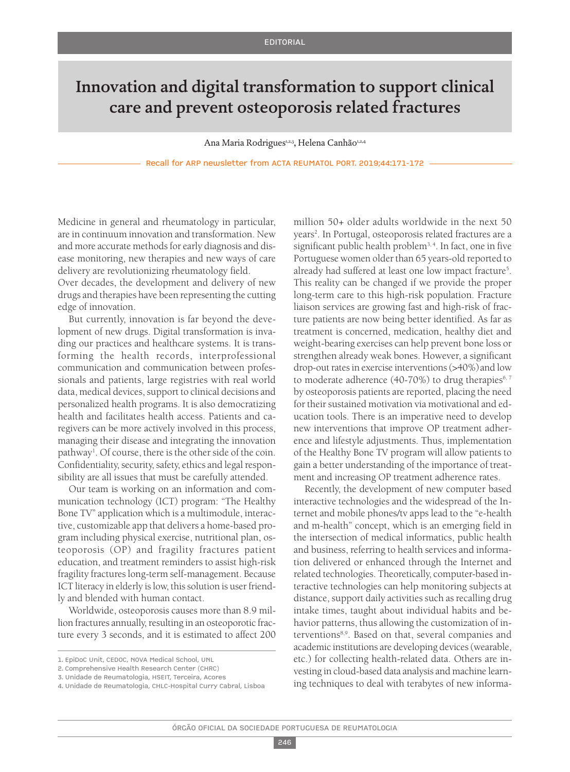## Innovation and digital transformation to support clinical care and prevent osteoporosis related fractures

Ana Maria Rodrigues<sup>1,2,3</sup>, Helena Canhão<sup>1,2,4</sup>

Recall for ARP newsletter from ACTA REUMATOL PORT. 2019;44:171-172

Medicine in general and rheumatology in particular, are in continuum innovation and transformation. New and more accurate methods for early diagnosis and disease monitoring, new therapies and new ways of care delivery are revolutionizing rheumatology field.

Over decades, the development and delivery of new drugs and therapies have been representing the cutting edge of innovation.

But currently, innovation is far beyond the development of new drugs. Digital transformation is invading our practices and healthcare systems. It is transforming the health records, interprofessional communication and communication between professionals and patients, large registries with real world data, medical devices, support to clinical decisions and personalized health programs. It is also democratizing health and facilitates health access. Patients and caregivers can be more actively involved in this process, managing their disease and integrating the innovation pathway<sup>1</sup>. Of course, there is the other side of the coin. Confidentiality, security, safety, ethics and legal responsibility are all issues that must be carefully attended.

Our team is working on an information and communication technology (ICT) program: "The Healthy Bone TV" application which is a multimodule, interactive, customizable app that delivers a home-based program including physical exercise, nutritional plan, osteoporosis (OP) and fragility fractures patient education, and treatment reminders to assist high-risk fragility fractureslong-term self-management. Because ICT literacy in elderly is low, this solution is user friendly and blended with human contact.

Worldwide, osteoporosis causes more than 8.9 million fractures annually, resulting in an osteoporotic fracture every 3 seconds, and it is estimated to affect 200

million 50+ older adults worldwide in the next 50 years<sup>2</sup>. In Portugal, osteoporosis related fractures are a significant public health problem<sup>3,4</sup>. In fact, one in five Portuguese women older than 65 years-old reported to already had suffered at least one low impact fracture<sup>5</sup>. This reality can be changed if we provide the proper long-term care to this high-risk population. Fracture liaison services are growing fast and high-risk of fracture patients are now being better identified. As far as treatment is concerned, medication, healthy diet and weight-bearing exercises can help prevent bone loss or strengthen already weak bones. However, a significant drop-out rates in exercise interventions (>40%) and low to moderate adherence (40-70%) to drug therapies $6,7$ by osteoporosis patients are reported, placing the need for their sustained motivation via motivational and education tools. There is an imperative need to develop new interventions that improve OP treatment adherence and lifestyle adjustments. Thus, implementation of the Healthy Bone TV program will allow patients to gain a better understanding of the importance of treatment and increasing OP treatment adherence rates.

Recently, the development of new computer based interactive technologies and the widespread of the Internet and mobile phones/tv apps lead to the "e-health and m-health" concept, which is an emerging field in the intersection of medical informatics, public health and business, referring to health services and information delivered or enhanced through the Internet and related technologies. Theoretically, computer-based interactive technologies can help monitoring subjects at distance, support daily activities such as recalling drug intake times, taught about individual habits and behavior patterns, thus allowing the customization of interventions<sup>8,9</sup>. Based on that, several companies and academic institutions are developing devices(wearable, etc.) for collecting health-related data. Others are investing in cloud-based data analysis and machine learning techniques to deal with terabytes of new informa-

<sup>1.</sup> EpiDoC Unit, CEDOC, NOVA Medical School, UNL

<sup>2.</sup> Comprehensive Health Research Center (CHRC)

<sup>3.</sup> Unidade de Reumatologia, HSEIT, Terceira, Acores

<sup>4.</sup> Unidade de Reumatologia, CHLC-Hospital Curry Cabral, Lisboa